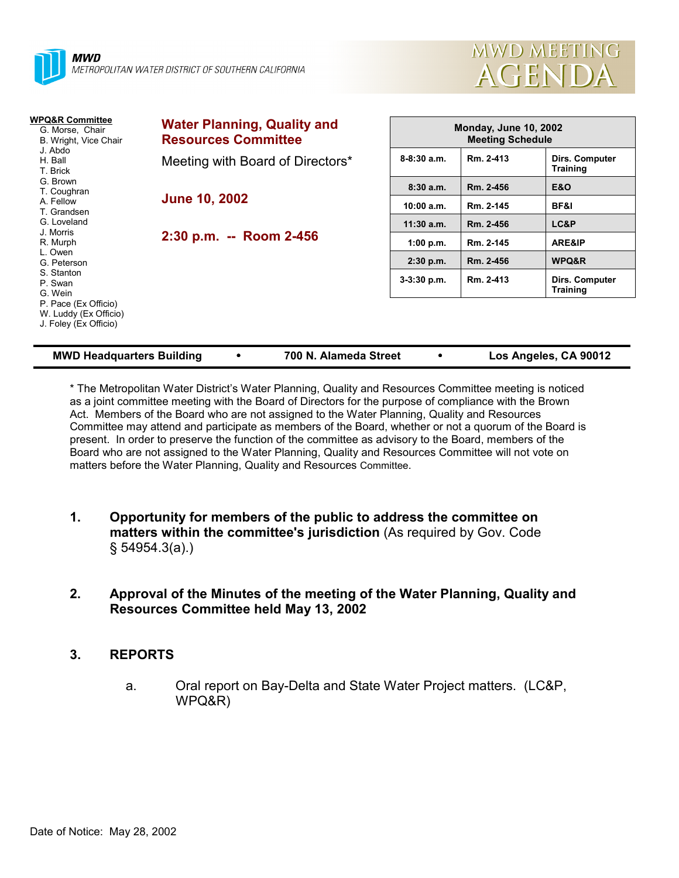



| WPQ&R Committee<br>G. Morse, Chair<br>B. Wright, Vice Chair<br>J. Abdo<br>H. Ball<br>T. Brick                                                                 | <b>Water Planning, Quality and</b><br><b>Resources Committee</b> | <b>Monday, June 10, 2002</b><br><b>Meeting Schedule</b> |           |                                   |  |
|---------------------------------------------------------------------------------------------------------------------------------------------------------------|------------------------------------------------------------------|---------------------------------------------------------|-----------|-----------------------------------|--|
|                                                                                                                                                               | Meeting with Board of Directors*                                 | $8 - 8:30$ a.m.                                         | Rm. 2-413 | Dirs. Computer<br><b>Training</b> |  |
| G. Brown<br>T. Coughran                                                                                                                                       |                                                                  | 8:30a.m.                                                | Rm. 2-456 | <b>E&amp;O</b>                    |  |
| A. Fellow<br>T. Grandsen                                                                                                                                      | <b>June 10, 2002</b>                                             | 10:00 a.m.                                              | Rm. 2-145 | BF&I                              |  |
| G. Loveland                                                                                                                                                   | 2:30 p.m. -- Room 2-456                                          | $11:30$ a.m.                                            | Rm. 2-456 | LC&P                              |  |
| J. Morris<br>R. Murph<br>L. Owen<br>G. Peterson<br>S. Stanton<br>P. Swan<br>G. Wein<br>P. Pace (Ex Officio)<br>W. Luddy (Ex Officio)<br>J. Foley (Ex Officio) |                                                                  | 1:00 p.m.                                               | Rm. 2-145 | ARE&IP                            |  |
|                                                                                                                                                               |                                                                  | $2:30$ p.m.                                             | Rm. 2-456 | WPQ&R                             |  |
|                                                                                                                                                               |                                                                  | $3-3:30$ p.m.                                           | Rm. 2-413 | Dirs. Computer<br><b>Training</b> |  |
|                                                                                                                                                               |                                                                  |                                                         |           |                                   |  |

| <b>MWD Headquarters Building</b> |  | 700 N. Alameda Street |  | Los Angeles, CA 90012 |
|----------------------------------|--|-----------------------|--|-----------------------|
|----------------------------------|--|-----------------------|--|-----------------------|

\* The Metropolitan Water Districtís Water Planning, Quality and Resources Committee meeting is noticed as a joint committee meeting with the Board of Directors for the purpose of compliance with the Brown Act. Members of the Board who are not assigned to the Water Planning, Quality and Resources Committee may attend and participate as members of the Board, whether or not a quorum of the Board is present. In order to preserve the function of the committee as advisory to the Board, members of the Board who are not assigned to the Water Planning, Quality and Resources Committee will not vote on matters before the Water Planning, Quality and Resources Committee.

- **1. Opportunity for members of the public to address the committee on matters within the committee's jurisdiction** (As required by Gov. Code ß 54954.3(a).)
- **2. Approval of the Minutes of the meeting of the Water Planning, Quality and Resources Committee held May 13, 2002**

## **3. REPORTS**

a. Oral report on Bay-Delta and State Water Project matters. (LC&P, WPQ&R)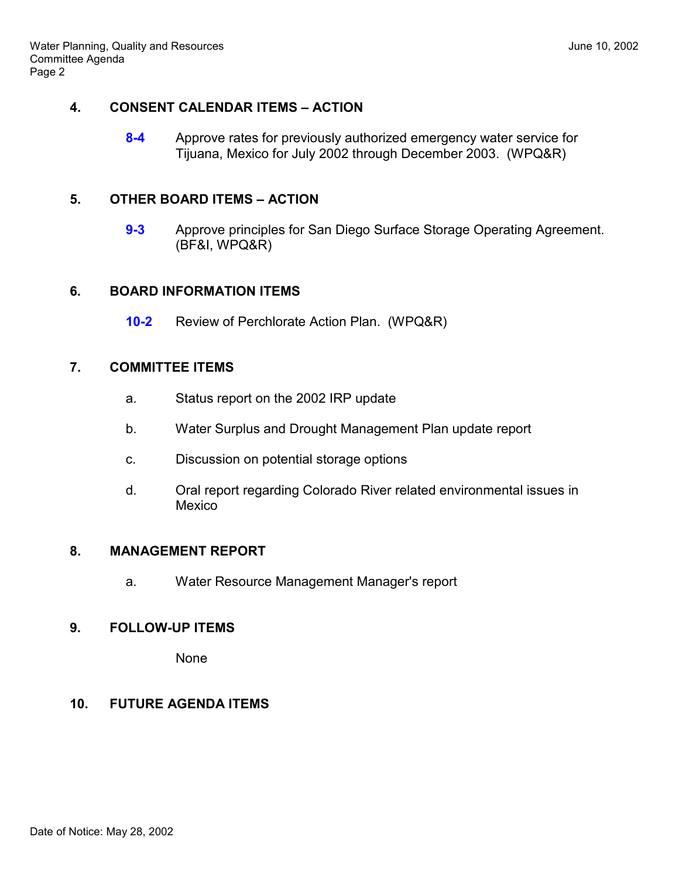#### **4. CONSENT CALENDAR ITEMS - ACTION**

**8-4** Approve rates for previously authorized emergency water service for Tijuana, Mexico for July 2002 through December 2003. (WPQ&R)

### **5. OTHER BOARD ITEMS - ACTION**

**9-3** Approve principles for San Diego Surface Storage Operating Agreement. (BF&I, WPQ&R)

### **6. BOARD INFORMATION ITEMS**

**10-2** Review of Perchlorate Action Plan. (WPQ&R)

### **7. COMMITTEE ITEMS**

- a. Status report on the 2002 IRP update
- b. Water Surplus and Drought Management Plan update report
- c. Discussion on potential storage options
- d. Oral report regarding Colorado River related environmental issues in **Mexico**

#### **8. MANAGEMENT REPORT**

a. Water Resource Management Manager's report

## **9. FOLLOW-UP ITEMS**

None

## **10. FUTURE AGENDA ITEMS**